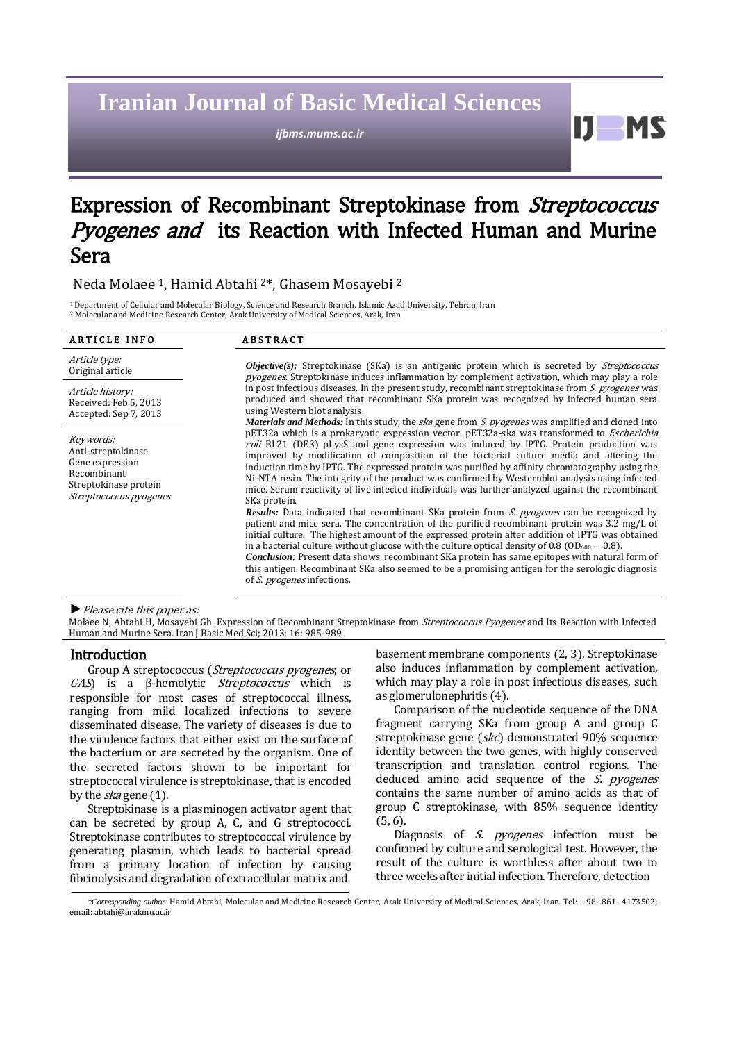# **Iranian Journal of Basic Medical Sciences**

*ijbms.mums.ac.ir*

Ш MS

## Expression of Recombinant Streptokinase from Streptococcus Pyogenes and its Reaction with Infected Human and Murine Sera

Neda Molaee 1, Hamid Abtahi 2\*, Ghasem Mosayebi <sup>2</sup>

<sup>1</sup>Department of Cellular and Molecular Biology, Science and Research Branch, Islamic Azad University, Tehran, Iran <sup>2</sup> Molecular and Medicine Research Center, Arak University of Medical Sciences, Arak, Iran

| <b>ARTICLE INFO</b>                                                                                                  | <b>ABSTRACT</b>                                                                                                                                                                                                                                                                                                                                                                                                                                                                                                                                                                                                                                                                                                                                                                                                                                                                                                                                                                                                                                                                                                                                                                                                                                                                                                                                                                                             |  |
|----------------------------------------------------------------------------------------------------------------------|-------------------------------------------------------------------------------------------------------------------------------------------------------------------------------------------------------------------------------------------------------------------------------------------------------------------------------------------------------------------------------------------------------------------------------------------------------------------------------------------------------------------------------------------------------------------------------------------------------------------------------------------------------------------------------------------------------------------------------------------------------------------------------------------------------------------------------------------------------------------------------------------------------------------------------------------------------------------------------------------------------------------------------------------------------------------------------------------------------------------------------------------------------------------------------------------------------------------------------------------------------------------------------------------------------------------------------------------------------------------------------------------------------------|--|
| Article type:<br>Original article                                                                                    | <b><i>Objective(s):</i></b> Streptokinase (SKa) is an antigenic protein which is secreted by <i>Streptococcus</i><br><i>pyogenes</i> . Streptokinase induces inflammation by complement activation, which may play a role<br>in post infectious diseases. In the present study, recombinant streptokinase from S. progenes was<br>produced and showed that recombinant SKa protein was recognized by infected human sera<br>using Western blot analysis.                                                                                                                                                                                                                                                                                                                                                                                                                                                                                                                                                                                                                                                                                                                                                                                                                                                                                                                                                    |  |
| Article history:<br>Received: Feb 5, 2013<br>Accepted: Sep 7, 2013                                                   |                                                                                                                                                                                                                                                                                                                                                                                                                                                                                                                                                                                                                                                                                                                                                                                                                                                                                                                                                                                                                                                                                                                                                                                                                                                                                                                                                                                                             |  |
| Keywords:<br>Anti-streptokinase<br>Gene expression<br>Recombinant<br>Streptokinase protein<br>Streptococcus pyogenes | <i>Materials and Methods:</i> In this study, the <i>ska</i> gene from S. <i>pyogenes</i> was amplified and cloned into<br>pET32a which is a prokaryotic expression vector. pET32a-ska was transformed to <i>Escherichia</i><br>coli BL21 (DE3) pLysS and gene expression was induced by IPTG. Protein production was<br>improved by modification of composition of the bacterial culture media and altering the<br>induction time by IPTG. The expressed protein was purified by affinity chromatography using the<br>Ni-NTA resin. The integrity of the product was confirmed by Westernblot analysis using infected<br>mice. Serum reactivity of five infected individuals was further analyzed against the recombinant<br>SKa protein.<br><b>Results:</b> Data indicated that recombinant SKa protein from <i>S. pyogenes</i> can be recognized by<br>patient and mice sera. The concentration of the purified recombinant protein was 3.2 mg/L of<br>initial culture. The highest amount of the expressed protein after addition of IPTG was obtained<br>in a bacterial culture without glucose with the culture optical density of 0.8 ( $OD_{600} = 0.8$ ).<br><b>Conclusion:</b> Present data shows, recombinant SKa protein has same epitopes with natural form of<br>this antigen. Recombinant SKa also seemed to be a promising antigen for the serologic diagnosis<br>of S. pyogenes infections. |  |

#### *►*Please cite this paper as:

Molaee N, Abtahi H, Mosayebi Gh. Expression of Recombinant Streptokinase from Streptococcus Pyogenes and Its Reaction with Infected Human and Murine Sera. Iran J Basic Med Sci; 2013; 16: 985-989.

#### Introduction

Group A streptococcus ([Streptococcus pyogenes](http://en.wikipedia.org/wiki/Streptococcus_pyogenes), or GAS) is a β-hemolytic [Streptococcus](http://en.wikipedia.org/wiki/Streptococcus) which is responsible for most cases of streptococcal illness, ranging from mild localized infections to severe disseminated disease. The variety of diseases is due to the virulence factors that either exist on the surface of the bacterium or are secreted by the organism. One of the secreted factors shown to be important for streptococcal virulence is streptokinase, that is encoded by the *ska* gene (1).

Streptokinase is a plasminogen activator agent that can be secreted by group A, C, and G streptococci. Streptokinase contributes to streptococcal virulence by generating plasmin, which leads to bacterial spread from a primary location of infection by causing fibrinolysis and degradation of extracellular matrix and

basement membrane components (2, 3). Streptokinase also induces inflammation by complement activation, which may play a role in post infectious diseases, such as glomerulonephritis (4).

Comparison of the nucleotide sequence of the DNA fragment carrying SKa from group A and group C streptokinase gene (skc) demonstrated 90% sequence identity between the two genes, with highly conserved transcription and translation control regions. The deduced amino acid sequence of the  $S.$  pyogenes contains the same number of amino acids as that of group C streptokinase, with 85% sequence identity (5, 6).

Diagnosis of S. pyogenes infection must be confirmed by culture and serological test. However, the result of the culture is worthless after about two to three weeks after initial infection. Therefore, detection

 *\*Corresponding author:* Hamid Abtahi, Molecular and Medicine Research Center, Arak University of Medical Sciences, Arak, Iran. Tel: +98- 861- 4173502; email: abtahi@arakmu.ac.ir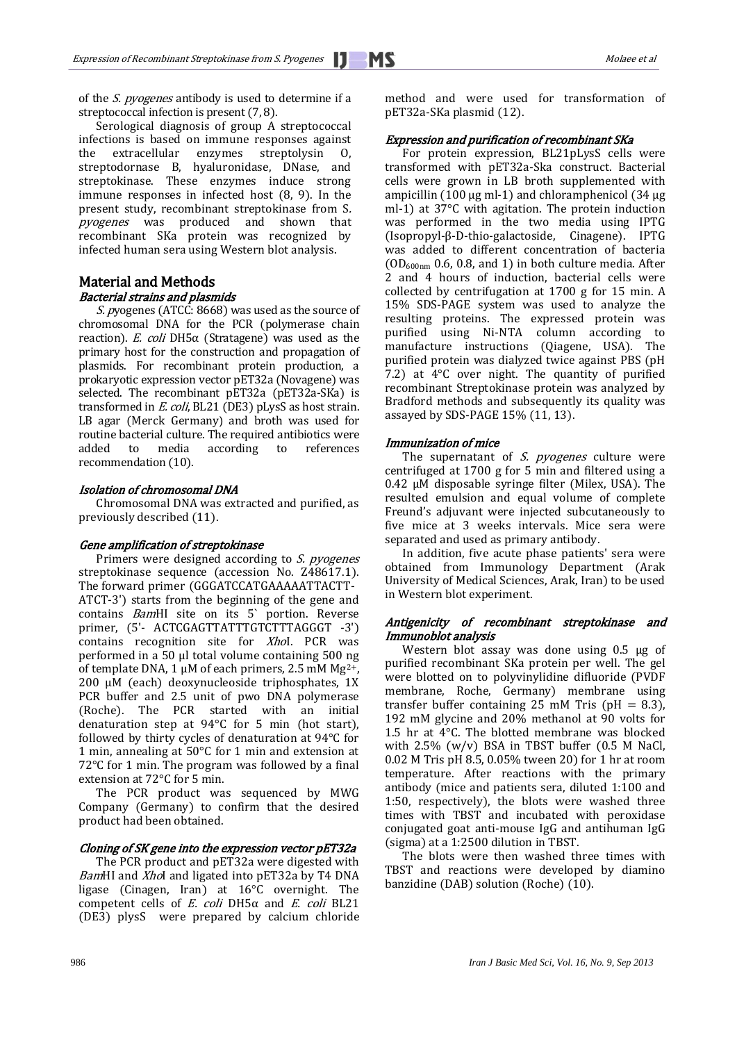of the S. pyogenes antibody is used to determine if a streptococcal infection is present  $(7, 8)$ .

Serological diagnosis of group A streptococcal infections is based on immune responses against the extracellular enzymes streptolysin O, streptodornase B, hyaluronidase, DNase, and streptokinase. These enzymes induce strong immune responses in infected host (8, 9). In the present study, recombinant streptokinase from S. pyogenes was produced and shown that recombinant SKa protein was recognized by infected human sera using Western blot analysis.

## Material and Methods Bacterial strains and plasmids

S. pyogenes (ATCC: 8668) was used as the source of chromosomal DNA for the PCR (polymerase chain reaction). E. coli DH5 $α$  (Stratagene) was used as the primary host for the construction and propagation of plasmids. For recombinant protein production, a prokaryotic expression vector pET32a (Novagene) was selected. The recombinant pET32a (pET32a-SKa) is transformed in E. coli, BL21 (DE3) pLysS as host strain. LB agar (Merck Germany) and broth was used for routine bacterial culture. The required antibiotics were added to media according to references recommendation (10).

### Isolation of chromosomal DNA

Chromosomal DNA was extracted and purified, as previously described (11).

#### Gene amplification of streptokinase

Primers were designed according to S. pyogenes streptokinase sequence (accession No. Z48617.1). The forward primer (GGGATCCATGAAAAATTACTT-ATCT-3') starts from the beginning of the gene and contains BamHI site on its 5` portion. Reverse primer, (5'- ACTCGAGTTATTTGTCTTTAGGGT -3') contains recognition site for Xhol. PCR was performed in a 50 μl total volume containing 500 ng of template DNA, 1 μM of each primers, 2.5 mM Mg<sup>2+</sup>, 200 μM (each) deoxynucleoside triphosphates, 1X PCR buffer and 2.5 unit of pwo DNA polymerase (Roche). The PCR started with an initial denaturation step at 94°C for 5 min (hot start), followed by thirty cycles of denaturation at 94°C for 1 min, annealing at 50°C for 1 min and extension at 72°C for 1 min. The program was followed by a final extension at 72°C for 5 min.

The PCR product was sequenced by MWG Company (Germany) to confirm that the desired product had been obtained.

### Cloning of SK gene into the expression vector pET32a

The PCR product and pET32a were digested with BamHI and XhoI and ligated into pET32a by T4 DNA ligase (Cinagen, Iran) at 16°C overnight. The competent cells of E. coli DH5α and E. coli BL21 (DE3) plysS were prepared by calcium chloride method and were used for transformation of pET32a-SKa plasmid (12).

## Expression and purification of recombinant SKa

For protein expression, BL21pLysS cells were transformed with pET32a-Ska construct. Bacterial cells were grown in LB broth supplemented with ampicillin (100 μg ml-1) and chloramphenicol (34 μg ml-1) at 37°C with agitation. The protein induction was performed in the two media using IPTG (Isopropyl-β-D-thio-galactoside, Cinagene). IPTG was added to different concentration of bacteria  $(OD_{600nm} 0.6, 0.8, and 1)$  in both culture media. After 2 and 4 hours of induction, bacterial cells were collected by centrifugation at 1700 g for 15 min. A 15% SDS-PAGE system was used to analyze the resulting proteins. The expressed protein was purified using Ni-NTA column according to manufacture instructions (Qiagene, USA). The purified protein was dialyzed twice against PBS (pH 7.2) at 4°C over night. The quantity of purified recombinant Streptokinase protein was analyzed by Bradford methods and subsequently its quality was assayed by SDS-PAGE 15% (11, 13).

#### Immunization of mice

The supernatant of  $S.$  pyogenes culture were centrifuged at 1700 g for 5 min and filtered using a 0.42 µM disposable syringe filter (Milex, USA). The resulted emulsion and equal volume of complete Freund's adjuvant were injected subcutaneously to five mice at 3 weeks intervals. Mice sera were separated and used as primary antibody.

In addition, five acute phase patients' sera were obtained from Immunology Department (Arak University of Medical Sciences, Arak, Iran) to be used in Western blot experiment.

### Antigenicity of recombinant streptokinase and Immunoblot analysis

Western blot assay was done using 0.5 μg of purified recombinant SKa protein per well. The gel were blotted on to polyvinylidine difluoride (PVDF membrane, Roche, Germany) membrane using transfer buffer containing 25 mM Tris ( $pH = 8.3$ ), 192 mM glycine and 20% methanol at 90 volts for 1.5 hr at 4°C. The blotted membrane was blocked with  $2.5\%$  (w/v) BSA in TBST buffer (0.5 M NaCl, 0.02 M Tris pH 8.5, 0.05% tween 20) for 1 hr at room temperature. After reactions with the primary antibody (mice and patients sera, diluted 1:100 and 1:50, respectively), the blots were washed three times with TBST and incubated with peroxidase conjugated goat anti-mouse IgG and antihuman IgG (sigma) at a 1:2500 dilution in TBST.

The blots were then washed three times with TBST and reactions were developed by diamino banzidine (DAB) solution (Roche) (10).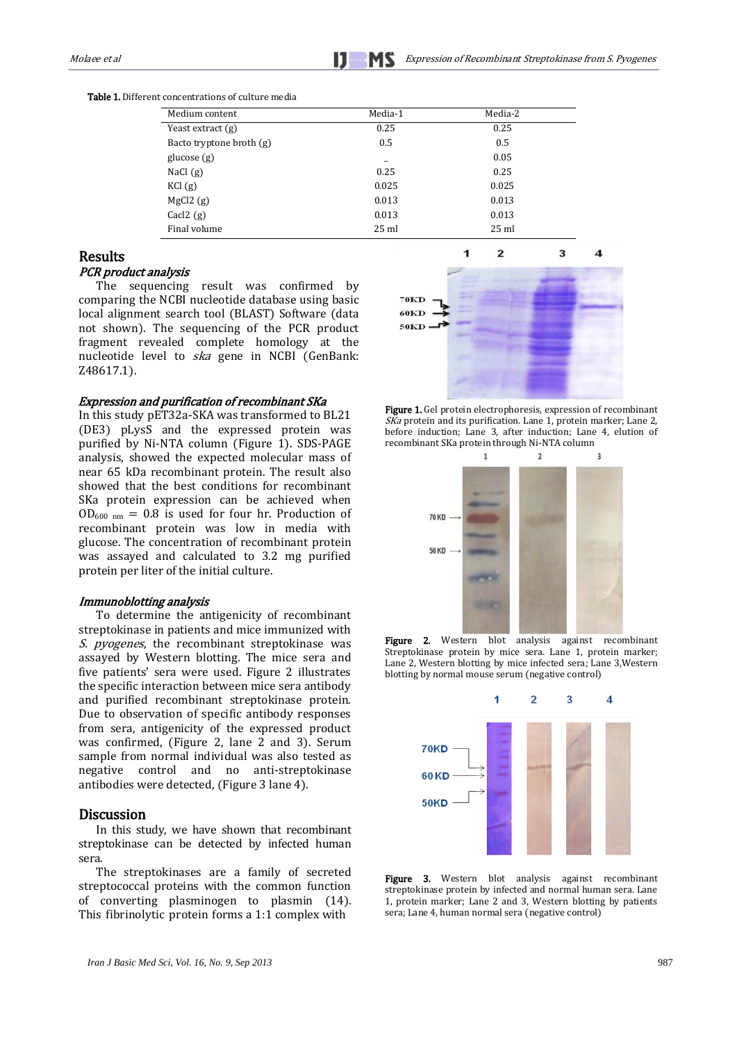Table 1. Different concentrations of culture media

| Medium content           | Media-1         | Media-2         |  |
|--------------------------|-----------------|-----------------|--|
|                          |                 |                 |  |
| Yeast extract (g)        | 0.25            | 0.25            |  |
| Bacto tryptone broth (g) | 0.5             | 0.5             |  |
| glucose $(g)$            | -               | 0.05            |  |
| NaCl $(g)$               | 0.25            | 0.25            |  |
| KCl <sub>(g)</sub>       | 0.025           | 0.025           |  |
| MgCl2(g)                 | 0.013           | 0.013           |  |
| $\text{Cacl2}(g)$        | 0.013           | 0.013           |  |
| Final volume             | $25 \text{ ml}$ | $25 \text{ ml}$ |  |

#### Results

#### PCR product analysis

The sequencing result was confirmed by comparing the NCBI nucleotide database using basic local alignment search tool (BLAST) Software (data not shown). The sequencing of the PCR product fragment revealed complete homology at the nucleotide level to *ska* gene in NCBI (GenBank: Z48617.1).

#### Expression and purification of recombinant SKa

In this study pET32a-SKA was transformed to BL21 (DE3) pLysS and the expressed protein was purified by Ni-NTA column [\(Figure 1\)](http://scialert.net/fulltext/?doi=pjbs.2010.380.384&org=11). SDS-PAGE analysis, showed the expected molecular mass of near 65 kDa recombinant protein. The result also showed that the best conditions for recombinant SKa protein expression can be achieved when  $OD_{600 \text{ nm}} = 0.8$  is used for four hr. Production of recombinant protein was low in media with glucose. The concentration of recombinant protein was assayed and calculated to 3.2 mg purified protein per liter of the initial culture.

#### Immunoblotting analysis

To determine the antigenicity of recombinant streptokinase in patients and mice immunized with S. pyogenes, the recombinant streptokinase was assayed by Western blotting. The mice sera and five patients' sera were used. Figure 2 illustrates the specific interaction between mice sera antibody and purified recombinant streptokinase protein. Due to observation of specific antibody responses from sera, antigenicity of the expressed product was confirmed, (Figure 2, lane 2 and 3). Serum sample from normal individual was also tested as negative control and no anti-streptokinase antibodies were detected, (Figure 3 lane 4).

## **Discussion**

In this study, we have shown that recombinant streptokinase can be detected by infected human sera.

The streptokinases are a family of secreted streptococcal proteins with the common function of converting plasminogen to plasmin (14). This fibrinolytic protein forms a 1:1 complex with



Figure 1. Gel protein electrophoresis, expression of recombinant SKa protein and its purification. Lane 1, protein marker; Lane 2, before induction; Lane 3, after induction; Lane 4, elution of recombinant SKa protein through Ni-NTA column



Figure 2. Western blot analysis against recombinant Streptokinase protein by mice sera. Lane 1, protein marker; Lane 2, Western blotting by mice infected sera; Lane 3,Western blotting by normal mouse serum (negative control)



Figure 3. Western blot analysis against recombinant streptokinase protein by infected and normal human sera. Lane 1, protein marker; Lane 2 and 3, Western blotting by patients sera; Lane 4, human normal sera (negative control)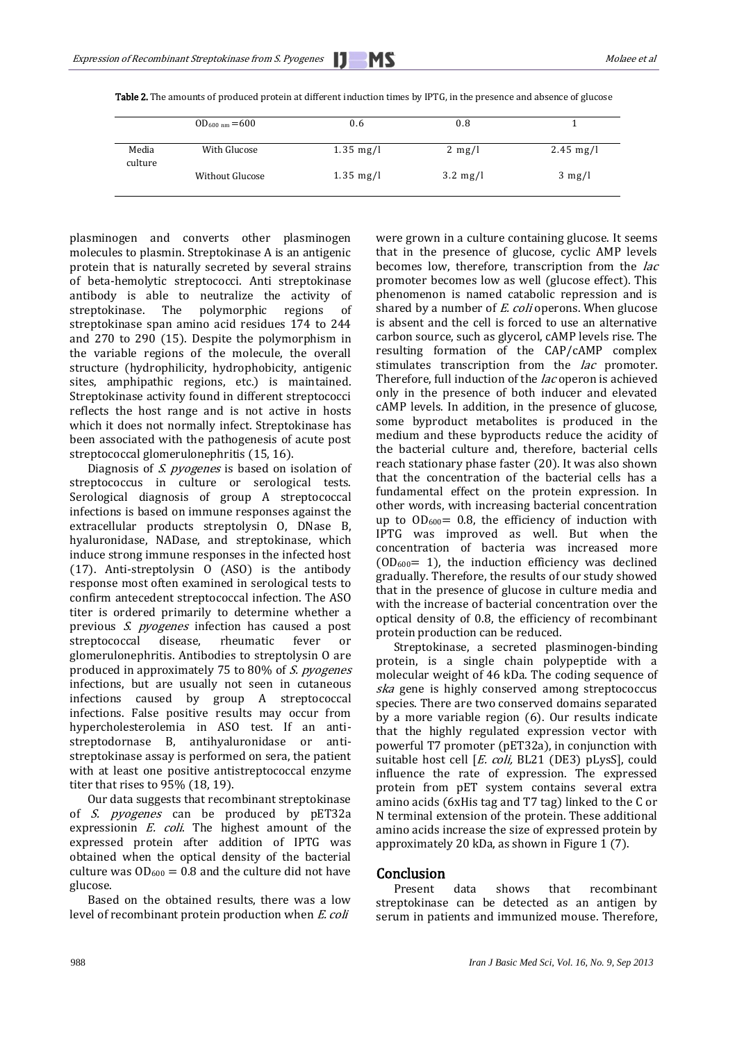|                  | $OD_{600 \text{ nm}} = 600$ | 0.6                 | 0.8                |                     |
|------------------|-----------------------------|---------------------|--------------------|---------------------|
| Media<br>culture | With Glucose                | $1.35 \text{ mg/l}$ | $2 \text{ mg/l}$   | $2.45 \text{ mg/l}$ |
|                  | Without Glucose             | $1.35 \text{ mg/l}$ | $3.2 \text{ mg/l}$ | $3 \text{ mg/l}$    |

Table 2. The amounts of produced protein at different induction times by IPTG, in the presence and absence of glucose

plasminogen and converts other plasminogen molecules to plasmin. Streptokinase A is an antigenic protein that is naturally secreted by several strains of beta-hemolytic streptococci. Anti streptokinase antibody is able to neutralize the activity of streptokinase. The polymorphic regions of streptokinase span amino acid residues 174 to 244 and 270 to 290 (15). Despite the polymorphism in the variable regions of the molecule, the overall structure (hydrophilicity, hydrophobicity, antigenic sites, amphipathic regions, etc.) is maintained. Streptokinase activity found in different streptococci reflects the host range and is not active in hosts which it does not normally infect. Streptokinase has been associated with the pathogenesis of acute post streptococcal glomerulonephritis (15, 16).

Diagnosis of S. *pyogenes* is based on isolation of streptococcus in culture or serological tests. Serological diagnosis of group A streptococcal infections is based on immune responses against the extracellular products streptolysin O, DNase B, hyaluronidase, NADase, and streptokinase, which induce strong immune responses in the infected host (17). Anti-streptolysin O (ASO) is the antibody response most often examined in serological tests to confirm antecedent streptococcal infection. The ASO titer is ordered primarily to determine whether a previous S. pyogenes infection has caused a post streptococcal disease, rheumatic fever or glomerulonephritis. Antibodies to streptolysin O are produced in approximately 75 to 80% of S. pyogenes infections, but are usually not seen in cutaneous infections caused by group A streptococcal infections. False positive results may occur from hypercholesterolemia in ASO test. If an antistreptodornase B, antihyaluronidase or antistreptokinase assay is performed on sera, the patient with at least one positive antistreptococcal enzyme titer that rises to 95% (18, 19).

Our data suggests that recombinant streptokinase of S. pyogenes can be produced by pET32a expressionin E. coli. The highest amount of the expressed protein after addition of IPTG was obtained when the optical density of the bacterial culture was  $OD_{600} = 0.8$  and the culture did not have glucose.

Based on the obtained results, there was a low level of recombinant protein production when E. coli

were grown in a culture containing glucose. It seems that in the presence of glucose, cyclic AMP levels becomes low, therefore, transcription from the *lac* promoter becomes low as well (glucose effect). This phenomenon is named catabolic repression and is shared by a number of *E. coli* operons. When glucose is absent and the cell is forced to use an alternative carbon source, such as glycerol, cAMP levels rise. The resulting formation of the CAP/cAMP complex stimulates transcription from the *lac* promoter. Therefore, full induction of the *lac* operon is achieved only in the presence of both inducer and elevated cAMP levels. In addition, in the presence of glucose, some byproduct metabolites is produced in the medium and these byproducts reduce the acidity of the bacterial culture and, therefore, bacterial cells reach stationary phase faster (20). It was also shown that the concentration of the bacterial cells has a fundamental effect on the protein expression. In other words, with increasing bacterial concentration up to  $OD_{600} = 0.8$ , the efficiency of induction with IPTG was improved as well. But when the concentration of bacteria was increased more  $(OD<sub>600</sub>= 1)$ , the induction efficiency was declined gradually. Therefore, the results of our study showed that in the presence of glucose in culture media and with the increase of bacterial concentration over the optical density of 0.8, the efficiency of recombinant protein production can be reduced.

Streptokinase, a secreted plasminogen-binding protein, is a single chain polypeptide with a molecular weight of 46 kDa. The coding sequence of ska gene is highly conserved among streptococcus species. There are two conserved domains separated by a more variable region (6). Our results indicate that the highly regulated expression vector with powerful T7 promoter (pET32a), in conjunction with suitable host cell [E. coli, BL21 (DE3) pLysS], could influence the rate of expression. The expressed protein from pET system contains several extra amino acids (6xHis tag and T7 tag) linked to the C or N terminal extension of the protein. These additional amino acids increase the size of expressed protein by approximately 20 kDa, as shown in Figure 1 (7).

## Conclusion

Present data shows that recombinant streptokinase can be detected as an antigen by serum in patients and immunized mouse. Therefore,